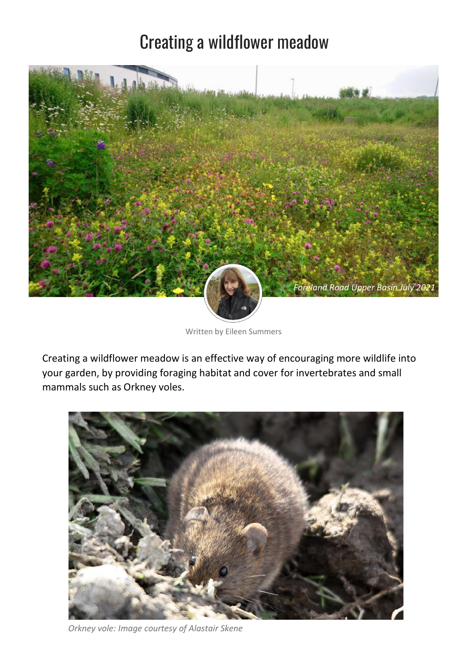# Creating a wildflower meadow



Written by Eileen Summers

Creating a wildflower meadow is an effective way of encouraging more wildlife into your garden, by providing foraging habitat and cover for invertebrates and small mammals such as Orkney voles.



*Orkney vole: Image courtesy of Alastair Skene*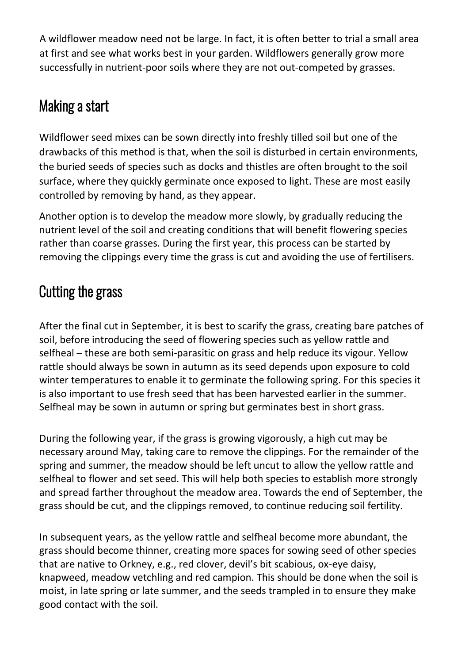A wildflower meadow need not be large. In fact, it is often better to trial a small area at first and see what works best in your garden. Wildflowers generally grow more successfully in nutrient-poor soils where they are not out-competed by grasses.

### Making a start

Wildflower seed mixes can be sown directly into freshly tilled soil but one of the drawbacks of this method is that, when the soil is disturbed in certain environments, the buried seeds of species such as docks and thistles are often brought to the soil surface, where they quickly germinate once exposed to light. These are most easily controlled by removing by hand, as they appear.

Another option is to develop the meadow more slowly, by gradually reducing the nutrient level of the soil and creating conditions that will benefit flowering species rather than coarse grasses. During the first year, this process can be started by removing the clippings every time the grass is cut and avoiding the use of fertilisers.

## Cutting the grass

After the final cut in September, it is best to scarify the grass, creating bare patches of soil, before introducing the seed of flowering species such as yellow rattle and selfheal – these are both semi-parasitic on grass and help reduce its vigour. Yellow rattle should always be sown in autumn as its seed depends upon exposure to cold winter temperatures to enable it to germinate the following spring. For this species it is also important to use fresh seed that has been harvested earlier in the summer. Selfheal may be sown in autumn or spring but germinates best in short grass.

During the following year, if the grass is growing vigorously, a high cut may be necessary around May, taking care to remove the clippings. For the remainder of the spring and summer, the meadow should be left uncut to allow the yellow rattle and selfheal to flower and set seed. This will help both species to establish more strongly and spread farther throughout the meadow area. Towards the end of September, the grass should be cut, and the clippings removed, to continue reducing soil fertility.

In subsequent years, as the yellow rattle and selfheal become more abundant, the grass should become thinner, creating more spaces for sowing seed of other species that are native to Orkney, e.g., red clover, devil's bit scabious, ox-eye daisy, knapweed, meadow vetchling and red campion. This should be done when the soil is moist, in late spring or late summer, and the seeds trampled in to ensure they make good contact with the soil.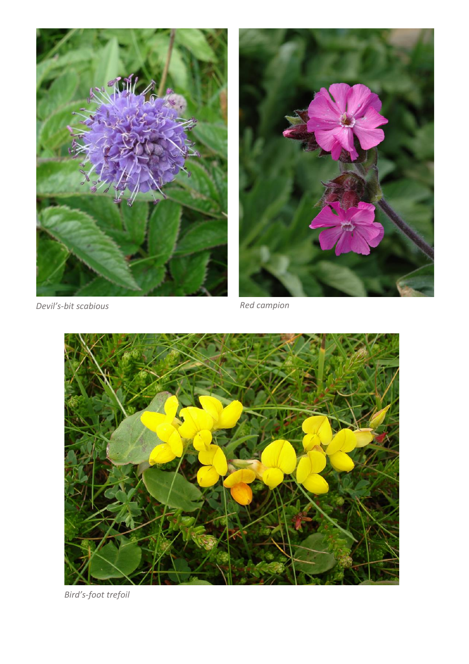





*Bird's-foot trefoil*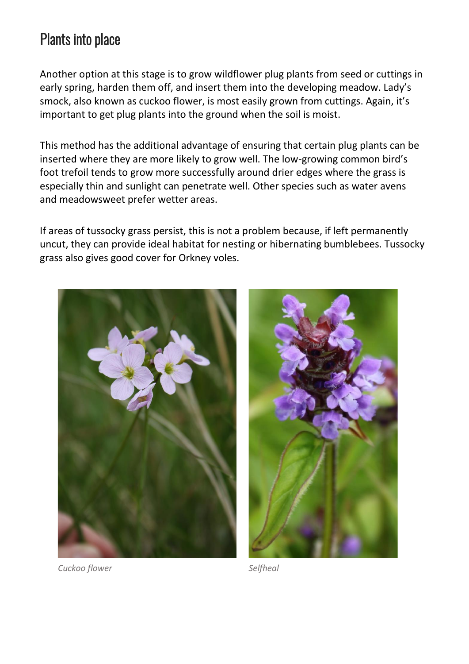### Plants into place

Another option at this stage is to grow wildflower plug plants from seed or cuttings in early spring, harden them off, and insert them into the developing meadow. Lady's smock, also known as cuckoo flower, is most easily grown from cuttings. Again, it's important to get plug plants into the ground when the soil is moist.

This method has the additional advantage of ensuring that certain plug plants can be inserted where they are more likely to grow well. The low-growing common bird's foot trefoil tends to grow more successfully around drier edges where the grass is especially thin and sunlight can penetrate well. Other species such as water avens and meadowsweet prefer wetter areas.

If areas of tussocky grass persist, this is not a problem because, if left permanently uncut, they can provide ideal habitat for nesting or hibernating bumblebees. Tussocky grass also gives good cover for Orkney voles.



*Cuckoo flower Selfheal*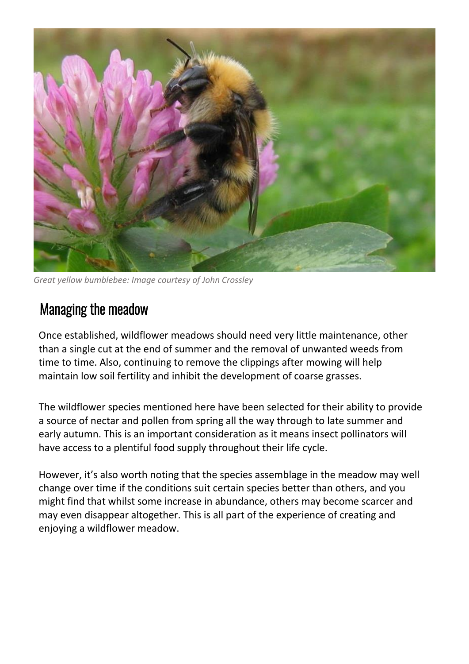

*Great yellow bumblebee: Image courtesy of John Crossley*

#### Managing the meadow

Once established, wildflower meadows should need very little maintenance, other than a single cut at the end of summer and the removal of unwanted weeds from time to time. Also, continuing to remove the clippings after mowing will help maintain low soil fertility and inhibit the development of coarse grasses.

The wildflower species mentioned here have been selected for their ability to provide a source of nectar and pollen from spring all the way through to late summer and early autumn. This is an important consideration as it means insect pollinators will have access to a plentiful food supply throughout their life cycle.

However, it's also worth noting that the species assemblage in the meadow may well change over time if the conditions suit certain species better than others, and you might find that whilst some increase in abundance, others may become scarcer and may even disappear altogether. This is all part of the experience of creating and enjoying a wildflower meadow.